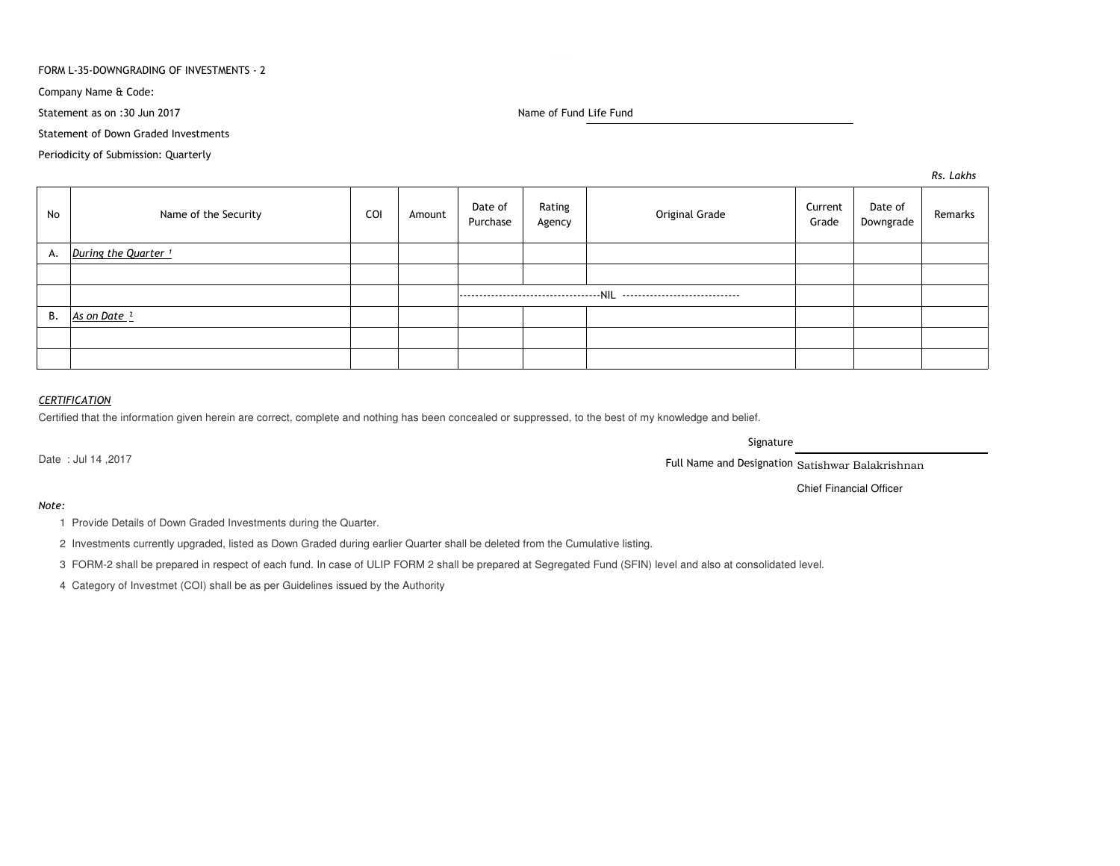## FORM L-35-DOWNGRADING OF INVESTMENTS - 2

Company Name & Code:

Statement as on :30 Jun 2017

Name of Fund Life Fund

Statement of Down Graded Investments

Periodicity of Submission: Quarterly

*Rs. Lakhs*

| No | Name of the Security            | COI | Amount | Date of<br>Purchase | Rating<br>Agency | Original Grade | Current<br>Grade | Date of<br>Downgrade | Remarks |
|----|---------------------------------|-----|--------|---------------------|------------------|----------------|------------------|----------------------|---------|
| А. | During the Quarter <sup>1</sup> |     |        |                     |                  |                |                  |                      |         |
|    |                                 |     |        |                     |                  |                |                  |                      |         |
|    |                                 |     |        |                     |                  |                |                  |                      |         |
| В. | As on Date <sup>2</sup>         |     |        |                     |                  |                |                  |                      |         |
|    |                                 |     |        |                     |                  |                |                  |                      |         |
|    |                                 |     |        |                     |                  |                |                  |                      |         |

# *CERTIFICATION*

Certified that the information given herein are correct, complete and nothing has been concealed or suppressed, to the best of my knowledge and belief.

Date : Jul 14 ,2017

Signature

Full Name and Designation Satishwar Balakrishnan

Chief Financial Officer

## *Note:*

1 Provide Details of Down Graded Investments during the Quarter.

2 Investments currently upgraded, listed as Down Graded during earlier Quarter shall be deleted from the Cumulative listing.

3 FORM-2 shall be prepared in respect of each fund. In case of ULIP FORM 2 shall be prepared at Segregated Fund (SFIN) level and also at consolidated level.

4 Category of Investmet (COI) shall be as per Guidelines issued by the Authority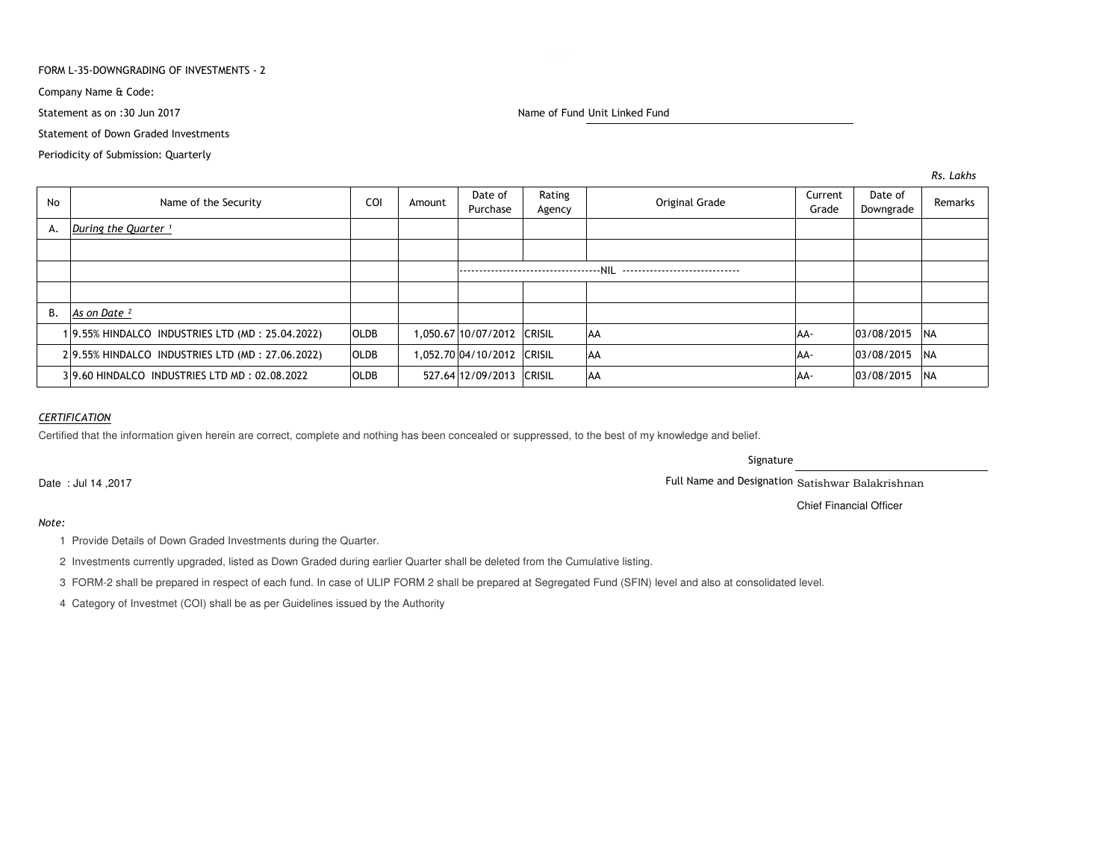## FORM L-35-DOWNGRADING OF INVESTMENTS - 2

Company Name & Code:

Statement as on :30 Jun 2017

Statement of Down Graded Investments

Periodicity of Submission: Quarterly

Name of Fund Unit Linked Fund

| <b>No</b> | Name of the Security                            | COI         | Amount | Date of<br>Purchase        | Rating<br>Agency | Original Grade | Current<br>Grade | Date of<br>Downgrade | Remarks    |
|-----------|-------------------------------------------------|-------------|--------|----------------------------|------------------|----------------|------------------|----------------------|------------|
|           | A. During the Quarter $\frac{1}{1}$             |             |        |                            |                  |                |                  |                      |            |
|           |                                                 |             |        |                            |                  |                |                  |                      |            |
|           |                                                 |             |        |                            |                  |                |                  |                      |            |
|           |                                                 |             |        |                            |                  |                |                  |                      |            |
| <b>B.</b> | As on Date <sup>2</sup>                         |             |        |                            |                  |                |                  |                      |            |
|           | 19.55% HINDALCO INDUSTRIES LTD (MD: 25.04.2022) | <b>OLDB</b> |        | 1,050.67 10/07/2012 CRISIL |                  | l AA           | AA-              | 03/08/2015 NA        |            |
|           | 29.55% HINDALCO INDUSTRIES LTD (MD: 27.06.2022) | <b>OLDB</b> |        | 1,052.70 04/10/2012 CRISIL |                  | l AA           | AA-              | 03/08/2015 NA        |            |
|           | 39.60 HINDALCO INDUSTRIES LTD MD: 02.08.2022    | <b>OLDB</b> |        | 527.64 12/09/2013 CRISIL   |                  | AA             | AA-              | 03/08/2015           | <b>INA</b> |

# *CERTIFICATION*

Certified that the information given herein are correct, complete and nothing has been concealed or suppressed, to the best of my knowledge and belief.

Signature

Full Name and Designation Satishwar Balakrishnan

Chief Financial Officer

Date : Jul 14 ,2017

*Note:*

1 Provide Details of Down Graded Investments during the Quarter.

2 Investments currently upgraded, listed as Down Graded during earlier Quarter shall be deleted from the Cumulative listing.

3 FORM-2 shall be prepared in respect of each fund. In case of ULIP FORM 2 shall be prepared at Segregated Fund (SFIN) level and also at consolidated level.

4 Category of Investmet (COI) shall be as per Guidelines issued by the Authority

*Rs. Lakhs*